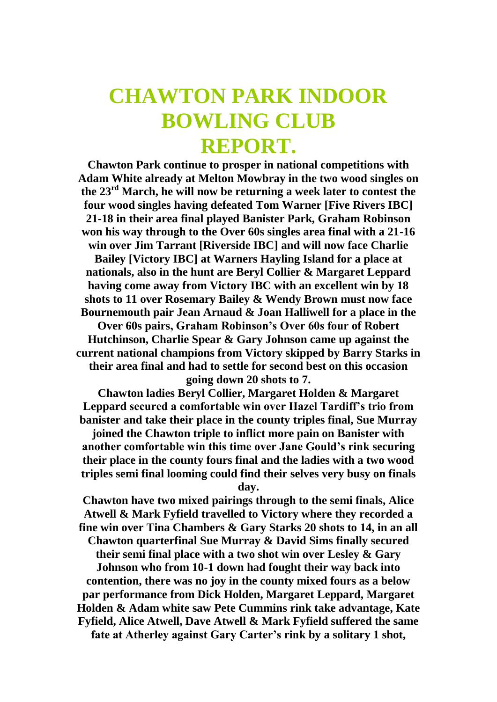## **CHAWTON PARK INDOOR BOWLING CLUB REPORT.**

**Chawton Park continue to prosper in national competitions with Adam White already at Melton Mowbray in the two wood singles on the 23rd March, he will now be returning a week later to contest the four wood singles having defeated Tom Warner [Five Rivers IBC] 21-18 in their area final played Banister Park, Graham Robinson won his way through to the Over 60s singles area final with a 21-16 win over Jim Tarrant [Riverside IBC] and will now face Charlie Bailey [Victory IBC] at Warners Hayling Island for a place at nationals, also in the hunt are Beryl Collier & Margaret Leppard having come away from Victory IBC with an excellent win by 18 shots to 11 over Rosemary Bailey & Wendy Brown must now face Bournemouth pair Jean Arnaud & Joan Halliwell for a place in the Over 60s pairs, Graham Robinson's Over 60s four of Robert Hutchinson, Charlie Spear & Gary Johnson came up against the current national champions from Victory skipped by Barry Starks in their area final and had to settle for second best on this occasion going down 20 shots to 7.**

**Chawton ladies Beryl Collier, Margaret Holden & Margaret Leppard secured a comfortable win over Hazel Tardiff's trio from banister and take their place in the county triples final, Sue Murray** 

**joined the Chawton triple to inflict more pain on Banister with another comfortable win this time over Jane Gould's rink securing their place in the county fours final and the ladies with a two wood triples semi final looming could find their selves very busy on finals day.**

**Chawton have two mixed pairings through to the semi finals, Alice Atwell & Mark Fyfield travelled to Victory where they recorded a fine win over Tina Chambers & Gary Starks 20 shots to 14, in an all Chawton quarterfinal Sue Murray & David Sims finally secured their semi final place with a two shot win over Lesley & Gary Johnson who from 10-1 down had fought their way back into contention, there was no joy in the county mixed fours as a below par performance from Dick Holden, Margaret Leppard, Margaret Holden & Adam white saw Pete Cummins rink take advantage, Kate Fyfield, Alice Atwell, Dave Atwell & Mark Fyfield suffered the same fate at Atherley against Gary Carter's rink by a solitary 1 shot,**